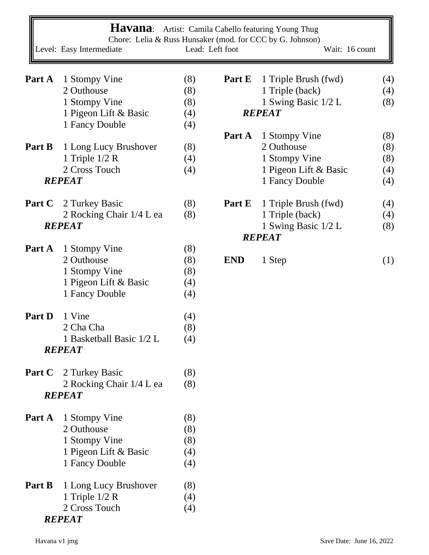|               | Level: Easy Intermediate                  |     | Lead: Left foot | Havana: Artist: Camila Cabello featuring Young Thug<br>Chore: Lelia & Russ Hunsaker (mod. for CCC by G. Johnson)<br>Wait: 16 count |     |
|---------------|-------------------------------------------|-----|-----------------|------------------------------------------------------------------------------------------------------------------------------------|-----|
|               |                                           |     |                 |                                                                                                                                    |     |
| Part A        | 1 Stompy Vine                             | (8) | Part E          | 1 Triple Brush (fwd)                                                                                                               | (4) |
|               | 2 Outhouse                                | (8) |                 | 1 Triple (back)                                                                                                                    | (4) |
|               | 1 Stompy Vine                             | (8) |                 | 1 Swing Basic 1/2 L                                                                                                                | (8) |
|               | 1 Pigeon Lift & Basic                     | (4) |                 | <b>REPEAT</b>                                                                                                                      |     |
|               | 1 Fancy Double                            | (4) |                 |                                                                                                                                    |     |
|               |                                           |     | Part A          |                                                                                                                                    | (8) |
| Part B        |                                           |     |                 | 1 Stompy Vine<br>2 Outhouse                                                                                                        |     |
|               | 1 Long Lucy Brushover                     | (8) |                 |                                                                                                                                    | (8) |
|               | 1 Triple $1/2$ R                          | (4) |                 | 1 Stompy Vine                                                                                                                      | (8) |
|               | 2 Cross Touch                             | (4) |                 | 1 Pigeon Lift & Basic                                                                                                              | (4) |
|               | <b>REPEAT</b>                             |     |                 | 1 Fancy Double                                                                                                                     | (4) |
|               | <b>Part C</b> 2 Turkey Basic              | (8) | Part E          | 1 Triple Brush (fwd)                                                                                                               | (4) |
|               | 2 Rocking Chair 1/4 L ea                  | (8) |                 | 1 Triple (back)                                                                                                                    | (4) |
|               | <b>REPEAT</b>                             |     |                 | 1 Swing Basic 1/2 L                                                                                                                | (8) |
|               |                                           |     |                 | <b>REPEAT</b>                                                                                                                      |     |
| Part A        | 1 Stompy Vine                             | (8) |                 |                                                                                                                                    |     |
|               | 2 Outhouse                                | (8) | <b>END</b>      | 1 Step                                                                                                                             | (1) |
|               | 1 Stompy Vine                             | (8) |                 |                                                                                                                                    |     |
|               | 1 Pigeon Lift & Basic                     | (4) |                 |                                                                                                                                    |     |
|               | 1 Fancy Double                            | (4) |                 |                                                                                                                                    |     |
|               |                                           |     |                 |                                                                                                                                    |     |
| Part D        | 1 Vine                                    | (4) |                 |                                                                                                                                    |     |
|               | 2 Cha Cha                                 | (8) |                 |                                                                                                                                    |     |
|               | 1 Basketball Basic 1/2 L                  | (4) |                 |                                                                                                                                    |     |
|               | <b>REPEAT</b>                             |     |                 |                                                                                                                                    |     |
| <b>Part C</b> | 2 Turkey Basic                            | (8) |                 |                                                                                                                                    |     |
|               |                                           |     |                 |                                                                                                                                    |     |
|               | 2 Rocking Chair 1/4 L ea<br><b>REPEAT</b> | (8) |                 |                                                                                                                                    |     |
|               |                                           |     |                 |                                                                                                                                    |     |
| Part A        | 1 Stompy Vine                             | (8) |                 |                                                                                                                                    |     |
|               | 2 Outhouse                                | (8) |                 |                                                                                                                                    |     |
|               | 1 Stompy Vine                             | (8) |                 |                                                                                                                                    |     |
|               | 1 Pigeon Lift & Basic                     | (4) |                 |                                                                                                                                    |     |
|               | 1 Fancy Double                            | (4) |                 |                                                                                                                                    |     |
| Part B        | 1 Long Lucy Brushover                     | (8) |                 |                                                                                                                                    |     |
|               | 1 Triple $1/2$ R                          | (4) |                 |                                                                                                                                    |     |
|               | 2 Cross Touch                             | (4) |                 |                                                                                                                                    |     |
|               | <b>REPEAT</b>                             |     |                 |                                                                                                                                    |     |